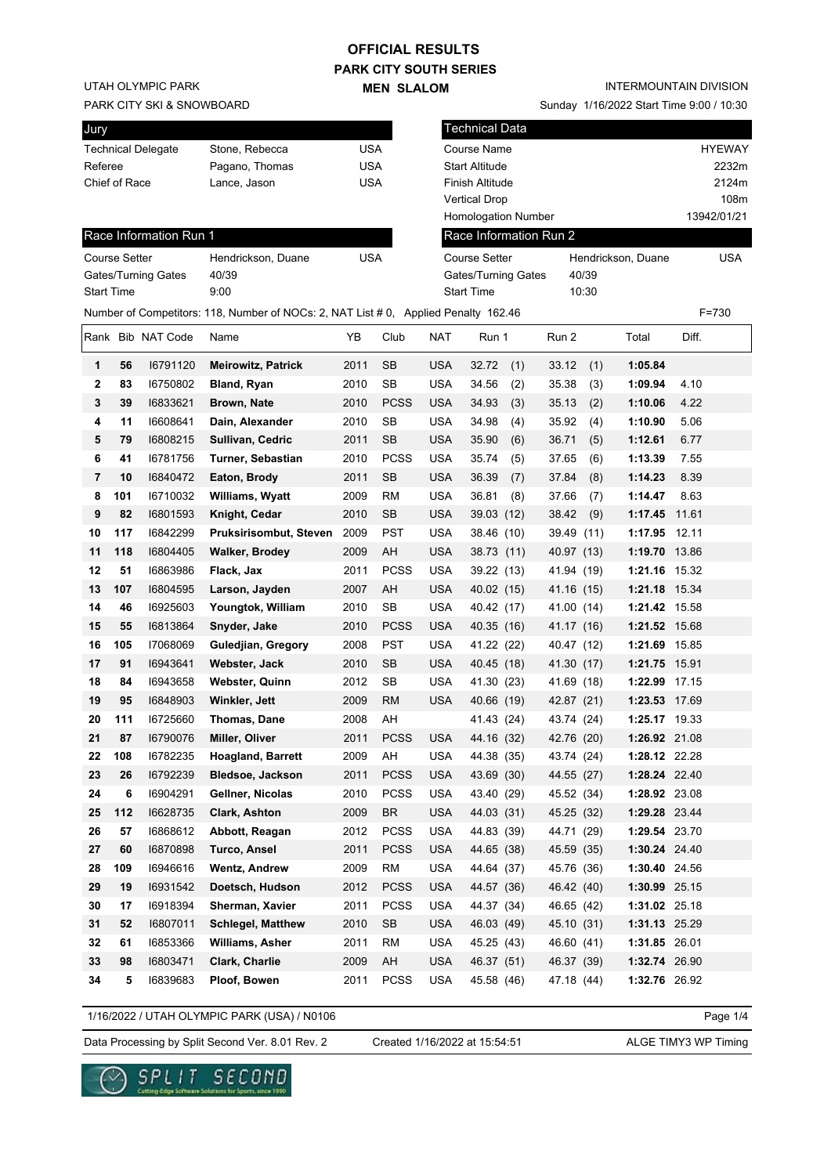## **PARK CITY SOUTH SERIES OFFICIAL RESULTS**

**MEN SLALOM** 

UTAH OLYMPIC PARK

#### PARK CITY SKI & SNOWBOARD

| Jury                      |                |     |
|---------------------------|----------------|-----|
| <b>Technical Delegate</b> | Stone, Rebecca | USA |
| Referee                   | Pagano, Thomas | USA |
| Chief of Race             | Lance, Jason   | USA |
|                           |                |     |

#### INTERMOUNTAIN DIVISION

Sunday 1/16/2022 Start Time 9:00 / 10:30

| Jury              |                      |                           |                                                                                     |                          |             |            | Technical Data                       |              |                    |                        |
|-------------------|----------------------|---------------------------|-------------------------------------------------------------------------------------|--------------------------|-------------|------------|--------------------------------------|--------------|--------------------|------------------------|
|                   |                      |                           |                                                                                     |                          |             |            |                                      |              |                    |                        |
| Referee           |                      | <b>Technical Delegate</b> | Stone, Rebecca<br>Pagano, Thomas                                                    | <b>USA</b><br><b>USA</b> |             |            | Course Name<br><b>Start Altitude</b> |              |                    | <b>HYEWAY</b><br>2232m |
|                   | Chief of Race        |                           | Lance, Jason                                                                        | <b>USA</b>               |             |            | Finish Altitude                      |              |                    | 2124m                  |
|                   |                      |                           |                                                                                     |                          |             |            | <b>Vertical Drop</b>                 |              |                    | 108m                   |
|                   |                      |                           |                                                                                     |                          |             |            | Homologation Number                  |              |                    | 13942/01/21            |
|                   |                      | Race Information Run 1    |                                                                                     |                          |             |            | Race Information Run 2               |              |                    |                        |
|                   | <b>Course Setter</b> |                           | Hendrickson, Duane                                                                  | <b>USA</b>               |             |            | <b>Course Setter</b>                 |              | Hendrickson, Duane | <b>USA</b>             |
|                   |                      | Gates/Turning Gates       | 40/39                                                                               |                          |             |            | <b>Gates/Turning Gates</b>           | 40/39        |                    |                        |
| <b>Start Time</b> |                      |                           | 9:00                                                                                |                          |             |            | <b>Start Time</b>                    | 10:30        |                    |                        |
|                   |                      |                           | Number of Competitors: 118, Number of NOCs: 2, NAT List # 0, Applied Penalty 162.46 |                          |             |            |                                      |              |                    | $F = 730$              |
|                   |                      | Rank Bib NAT Code         | Name                                                                                | ΥB                       | Club        | <b>NAT</b> | Run 1                                | Run 2        | Total              | Diff.                  |
| 1                 | 56                   | 16791120                  | <b>Meirowitz, Patrick</b>                                                           | 2011                     | SB          | <b>USA</b> | 32.72<br>(1)                         | 33.12<br>(1) | 1:05.84            |                        |
| 2                 | 83                   | 16750802                  | Bland, Ryan                                                                         | 2010                     | <b>SB</b>   | <b>USA</b> | 34.56<br>(2)                         | 35.38<br>(3) | 1:09.94            | 4.10                   |
| 3                 | 39                   | 16833621                  | Brown, Nate                                                                         | 2010                     | <b>PCSS</b> | <b>USA</b> | 34.93<br>(3)                         | 35.13<br>(2) | 1:10.06            | 4.22                   |
| 4                 | 11                   | 16608641                  | Dain, Alexander                                                                     | 2010                     | <b>SB</b>   | <b>USA</b> | 34.98<br>(4)                         | 35.92<br>(4) | 1:10.90            | 5.06                   |
| 5                 | 79                   | 16808215                  | Sullivan, Cedric                                                                    | 2011                     | <b>SB</b>   | <b>USA</b> | 35.90<br>(6)                         | (5)<br>36.71 | 1:12.61            | 6.77                   |
| 6                 | 41                   | 16781756                  | Turner, Sebastian                                                                   | 2010                     | <b>PCSS</b> | <b>USA</b> | 35.74<br>(5)                         | 37.65<br>(6) | 1:13.39            | 7.55                   |
| 7                 | 10                   | 16840472                  | Eaton, Brody                                                                        | 2011                     | <b>SB</b>   | <b>USA</b> | 36.39<br>(7)                         | 37.84<br>(8) | 1:14.23            | 8.39                   |
| 8                 | 101                  | 16710032                  | Williams, Wyatt                                                                     | 2009                     | <b>RM</b>   | <b>USA</b> | 36.81<br>(8)                         | 37.66<br>(7) | 1:14.47            | 8.63                   |
| 9                 | 82                   | 16801593                  | Knight, Cedar                                                                       | 2010                     | <b>SB</b>   | <b>USA</b> | 39.03 (12)                           | (9)<br>38.42 | 1:17.45 11.61      |                        |
| 10                | 117                  | 16842299                  | Pruksirisombut, Steven                                                              | 2009                     | <b>PST</b>  | <b>USA</b> | 38.46 (10)                           | 39.49 (11)   | 1:17.95 12.11      |                        |
| 11                | 118                  | 16804405                  | <b>Walker, Brodey</b>                                                               | 2009                     | AH          | <b>USA</b> | 38.73 (11)                           | 40.97 (13)   | 1:19.70 13.86      |                        |
| 12                | 51                   | 16863986                  | Flack, Jax                                                                          | 2011                     | <b>PCSS</b> | <b>USA</b> | 39.22 (13)                           | 41.94 (19)   | 1:21.16 15.32      |                        |
| 13                | 107                  | 16804595                  | Larson, Jayden                                                                      | 2007                     | AH          | <b>USA</b> | 40.02 (15)                           | 41.16 (15)   | 1:21.18 15.34      |                        |
| 14                | 46                   | 16925603                  | Youngtok, William                                                                   | 2010                     | <b>SB</b>   | <b>USA</b> | 40.42 (17)                           | 41.00 (14)   | 1:21.42 15.58      |                        |
| 15                | 55                   | 16813864                  | Snyder, Jake                                                                        | 2010                     | <b>PCSS</b> | <b>USA</b> | 40.35 (16)                           | 41.17 (16)   | 1:21.52 15.68      |                        |
| 16                | 105                  | 17068069                  | Guledjian, Gregory                                                                  | 2008                     | <b>PST</b>  | <b>USA</b> | 41.22 (22)                           | 40.47 (12)   | 1:21.69 15.85      |                        |
| 17                | 91                   | 16943641                  | Webster, Jack                                                                       | 2010                     | <b>SB</b>   | <b>USA</b> | 40.45 (18)                           | 41.30 (17)   | 1:21.75 15.91      |                        |
| 18                | 84                   | 16943658                  | <b>Webster, Quinn</b>                                                               | 2012                     | SB          | <b>USA</b> | 41.30 (23)                           | 41.69 (18)   | 1:22.99 17.15      |                        |
| 19                | 95                   | 16848903                  | Winkler, Jett                                                                       | 2009                     | <b>RM</b>   | <b>USA</b> | 40.66 (19)                           | 42.87 (21)   | 1:23.53 17.69      |                        |
| 20                | 111                  | 16725660                  | <b>Thomas, Dane</b>                                                                 | 2008                     | AH          |            | 41.43 (24)                           | 43.74 (24)   | 1:25.17 19.33      |                        |
| 21                | 87                   | 16790076                  | Miller, Oliver                                                                      | 2011                     | PCSS        | <b>USA</b> | 44.16 (32)                           | 42.76 (20)   | 1:26.92 21.08      |                        |
| 22                | 108                  | 16782235                  | <b>Hoagland, Barrett</b>                                                            | 2009                     | AH          | <b>USA</b> | 44.38 (35)                           | 43.74 (24)   | 1:28.12 22.28      |                        |
| 23                | 26                   | 16792239                  | Bledsoe, Jackson                                                                    | 2011                     | <b>PCSS</b> | <b>USA</b> | 43.69 (30)                           | 44.55 (27)   | 1:28.24 22.40      |                        |
| 24                | 6                    | 16904291                  | Gellner, Nicolas                                                                    | 2010                     | <b>PCSS</b> | <b>USA</b> | 43.40 (29)                           | 45.52 (34)   | 1:28.92 23.08      |                        |
| 25                | 112                  | 16628735                  | Clark, Ashton                                                                       | 2009                     | <b>BR</b>   | <b>USA</b> | 44.03 (31)                           | 45.25 (32)   | 1:29.28 23.44      |                        |
| 26                | 57                   | 16868612                  | Abbott, Reagan                                                                      | 2012                     | <b>PCSS</b> | <b>USA</b> | 44.83 (39)                           | 44.71 (29)   | 1:29.54 23.70      |                        |
| 27                | 60                   | 16870898                  | Turco, Ansel                                                                        | 2011                     | <b>PCSS</b> | <b>USA</b> | 44.65 (38)                           | 45.59 (35)   | 1:30.24 24.40      |                        |
| 28                | 109                  | 16946616                  | <b>Wentz, Andrew</b>                                                                | 2009                     | <b>RM</b>   | <b>USA</b> | 44.64 (37)                           | 45.76 (36)   | 1:30.40 24.56      |                        |
| 29                | 19                   | 16931542                  | Doetsch, Hudson                                                                     | 2012                     | <b>PCSS</b> | <b>USA</b> | 44.57 (36)                           | 46.42 (40)   | 1:30.99 25.15      |                        |
| 30                | 17                   | 16918394                  | Sherman, Xavier                                                                     | 2011                     | <b>PCSS</b> | <b>USA</b> | 44.37 (34)                           | 46.65 (42)   | 1:31.02 25.18      |                        |
| 31                | 52                   | 16807011                  | <b>Schlegel, Matthew</b>                                                            | 2010                     | SB          | USA        | 46.03 (49)                           | 45.10 (31)   | 1:31.13 25.29      |                        |
| 32                | 61                   | 16853366                  | Williams, Asher                                                                     | 2011                     | RM          | <b>USA</b> | 45.25 (43)                           | 46.60 (41)   | 1:31.85 26.01      |                        |
| 33                | 98                   | 16803471                  | Clark, Charlie                                                                      | 2009                     | AH          | <b>USA</b> | 46.37 (51)                           | 46.37 (39)   | 1:32.74 26.90      |                        |
| 34                | 5                    | 16839683                  | Ploof, Bowen                                                                        | 2011                     | <b>PCSS</b> | USA        | 45.58 (46)                           | 47.18 (44)   | 1:32.76 26.92      |                        |

1/16/2022 / UTAH OLYMPIC PARK (USA) / N0106

Data Processing by Split Second Ver. 8.01 Rev. 2 Created 1/16/2022 at 15:54:51 ALGE TIMY3 WP Timing

Created 1/16/2022 at 15:54:51

Page 1/4

re Solutions for Sports, since 1990

 $\sim$ 

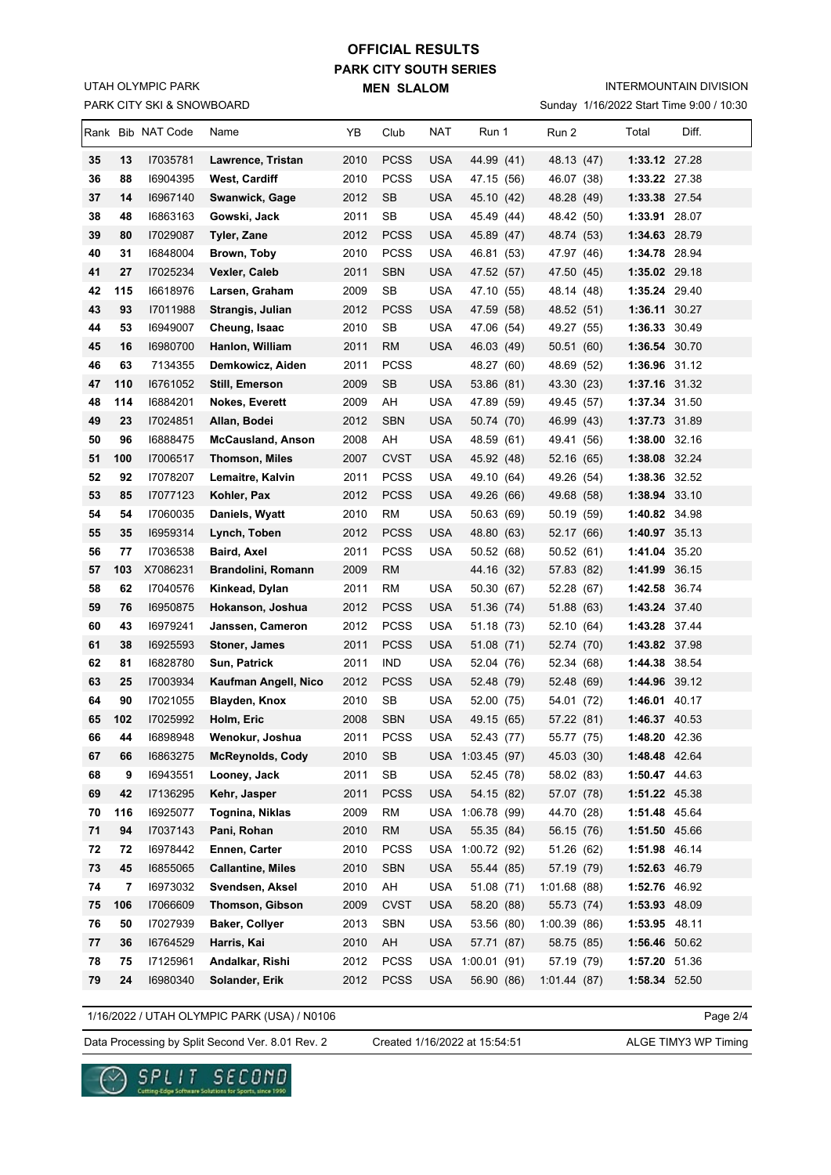### PARK CITY SKI & SNOWBOARD UTAH OLYMPIC PARK

# **PARK CITY SOUTH SERIES MEN SLALOM OFFICIAL RESULTS**

INTERMOUNTAIN DIVISION

Sunday 1/16/2022 Start Time 9:00 / 10:30

|          |           | Rank Bib NAT Code    | Name                          | YB           | Club             | NAT                      | Run 1                          | Run 2                    | Total | Diff.                          |
|----------|-----------|----------------------|-------------------------------|--------------|------------------|--------------------------|--------------------------------|--------------------------|-------|--------------------------------|
| 35       | 13        | 17035781             | Lawrence, Tristan             | 2010         | <b>PCSS</b>      | <b>USA</b>               | 44.99 (41)                     | 48.13 (47)               |       | 1:33.12 27.28                  |
| 36       | 88        | 16904395             | West, Cardiff                 | 2010         | <b>PCSS</b>      | <b>USA</b>               | 47.15 (56)                     | 46.07 (38)               |       | 1:33.22 27.38                  |
| 37       | 14        | 16967140             | Swanwick, Gage                | 2012         | <b>SB</b>        | <b>USA</b>               | 45.10 (42)                     | 48.28 (49)               |       | 1:33.38 27.54                  |
| 38       | 48        | 16863163             | Gowski, Jack                  | 2011         | SB               | <b>USA</b>               | 45.49 (44)                     | 48.42 (50)               |       | 1:33.91 28.07                  |
| 39       | 80        | 17029087             | Tyler, Zane                   | 2012         | PCSS             | <b>USA</b>               | 45.89 (47)                     | 48.74 (53)               |       | 1:34.63 28.79                  |
| 40       | 31        | 16848004             | Brown, Toby                   | 2010         | <b>PCSS</b>      | <b>USA</b>               | 46.81 (53)                     | 47.97 (46)               |       | 1:34.78 28.94                  |
| 41       | 27        | 17025234             | Vexler, Caleb                 | 2011         | <b>SBN</b>       | <b>USA</b>               | 47.52 (57)                     | 47.50 (45)               |       | 1:35.02 29.18                  |
| 42       | 115       | 16618976             | Larsen, Graham                | 2009         | SB               | <b>USA</b>               | 47.10 (55)                     | 48.14 (48)               |       | 1:35.24 29.40                  |
| 43       | 93        | 17011988             | Strangis, Julian              | 2012         | PCSS             | USA                      | 47.59 (58)                     | 48.52 (51)               |       | 1:36.11 30.27                  |
| 44       | 53        | 16949007             | Cheung, Isaac                 | 2010         | SB               | <b>USA</b>               | 47.06 (54)                     | 49.27 (55)               |       | 1:36.33 30.49                  |
| 45       | 16        | 16980700             | Hanlon, William               | 2011         | <b>RM</b>        | <b>USA</b>               | 46.03 (49)                     | 50.51(60)                |       | 1:36.54 30.70                  |
| 46       | 63        | 7134355              | Demkowicz, Aiden              | 2011         | <b>PCSS</b>      |                          | 48.27 (60)                     | 48.69 (52)               |       | 1:36.96 31.12                  |
| 47       | 110       | 16761052             | Still, Emerson                | 2009         | <b>SB</b>        | <b>USA</b>               | 53.86 (81)                     | 43.30 (23)               |       | 1:37.16 31.32                  |
| 48       | 114       | 16884201             | <b>Nokes, Everett</b>         | 2009         | AH               | USA                      | 47.89 (59)                     | 49.45 (57)               |       | 1:37.34 31.50                  |
| 49       | 23        | 17024851             | Allan, Bodei                  | 2012         | <b>SBN</b>       | <b>USA</b>               | 50.74 (70)                     | 46.99 (43)               |       | 1:37.73 31.89                  |
| 50       | 96        | 16888475             | <b>McCausland, Anson</b>      | 2008         | AH               | <b>USA</b>               | 48.59 (61)                     | 49.41 (56)               |       | 1:38.00 32.16                  |
| 51       | 100       | 17006517             | <b>Thomson, Miles</b>         | 2007         | <b>CVST</b>      | USA                      | 45.92 (48)                     | 52.16 (65)               |       | 1:38.08 32.24                  |
| 52       | 92        | 17078207             | Lemaitre, Kalvin              | 2011         | <b>PCSS</b>      | <b>USA</b>               | 49.10 (64)                     | 49.26 (54)               |       | 1:38.36 32.52                  |
| 53       | 85        | 17077123             | Kohler, Pax                   | 2012         | <b>PCSS</b>      | USA                      | 49.26 (66)                     | 49.68 (58)               |       | 1:38.94 33.10                  |
| 54       | 54        | I7060035             | Daniels, Wyatt                | 2010         | <b>RM</b>        | <b>USA</b>               | 50.63 (69)                     | 50.19 (59)               |       | 1:40.82 34.98                  |
| 55       | 35        | 16959314             | Lynch, Toben                  | 2012         | <b>PCSS</b>      | <b>USA</b>               | 48.80 (63)                     | 52.17 (66)               |       | 1:40.97 35.13                  |
| 56       | 77        | 17036538             | Baird, Axel                   | 2011         | <b>PCSS</b>      | <b>USA</b>               | 50.52 (68)                     | 50.52 (61)               |       | 1:41.04 35.20                  |
| 57       | 103       | X7086231             | Brandolini, Romann            | 2009         | <b>RM</b>        |                          | 44.16 (32)                     | 57.83 (82)               |       | 1:41.99 36.15                  |
| 58       | 62        | 17040576             | Kinkead, Dylan                | 2011         | RM               | USA                      | 50.30 (67)                     | 52.28 (67)               |       | 1:42.58 36.74                  |
| 59       | 76        | 16950875             | Hokanson, Joshua              | 2012         | <b>PCSS</b>      | <b>USA</b>               | 51.36 (74)                     | 51.88 (63)               |       | 1:43.24 37.40                  |
| 60       | 43        | 16979241             | Janssen, Cameron              | 2012         | <b>PCSS</b>      | <b>USA</b>               | 51.18 (73)                     | 52.10 (64)               |       | 1:43.28 37.44                  |
| 61       | 38        | 16925593             | Stoner, James                 | 2011         | PCSS             | USA                      | 51.08 (71)                     | 52.74 (70)               |       | 1:43.82 37.98                  |
| 62       | 81        | 16828780             | Sun, Patrick                  | 2011         | IND              | <b>USA</b>               | 52.04 (76)                     | 52.34 (68)               |       | 1:44.38 38.54                  |
| 63       | 25        | 17003934             | Kaufman Angell, Nico          | 2012         | <b>PCSS</b>      | USA                      | 52.48 (79)                     | 52.48 (69)               |       | 1:44.96 39.12                  |
| 64<br>65 | 90<br>102 | 17021055<br>17025992 | Blayden, Knox                 | 2010<br>2008 | SB<br><b>SBN</b> | <b>USA</b><br><b>USA</b> | 52.00 (75)                     | 54.01 (72)               |       | 1:46.01 40.17<br>1:46.37 40.53 |
| 66       | 44        | 16898948             | Holm, Eric<br>Wenokur, Joshua | 2011         | PCSS             | <b>USA</b>               | 49.15 (65)                     | 57.22 (81)<br>55.77 (75) |       | 1:48.20 42.36                  |
| 67       | 66        | 16863275             | <b>McReynolds, Cody</b>       | 2010         | <b>SB</b>        |                          | 52.43 (77)<br>USA 1:03.45 (97) | 45.03 (30)               |       | 1:48.48 42.64                  |
| 68       | 9         | 16943551             | Looney, Jack                  | 2011         | SB               | <b>USA</b>               | 52.45 (78)                     | 58.02 (83)               |       | 1:50.47 44.63                  |
| 69       | 42        | 17136295             | Kehr, Jasper                  | 2011         | <b>PCSS</b>      | <b>USA</b>               | 54.15 (82)                     | 57.07 (78)               |       | 1:51.22 45.38                  |
| 70       | 116       | 16925077             | Tognina, Niklas               | 2009         | <b>RM</b>        |                          | USA 1:06.78 (99)               | 44.70 (28)               |       | 1:51.48 45.64                  |
| 71       | 94        | 17037143             | Pani, Rohan                   | 2010         | <b>RM</b>        | <b>USA</b>               | 55.35 (84)                     | 56.15 (76)               |       | 1:51.50 45.66                  |
| 72       | 72        | 16978442             | Ennen, Carter                 | 2010         | <b>PCSS</b>      |                          | USA 1:00.72 (92)               | 51.26 (62)               |       | 1:51.98 46.14                  |
| 73       | 45        | 16855065             | <b>Callantine, Miles</b>      | 2010         | <b>SBN</b>       | <b>USA</b>               | 55.44 (85)                     | 57.19 (79)               |       | 1:52.63 46.79                  |
| 74       | 7         | 16973032             | Svendsen, Aksel               | 2010         | AH               | <b>USA</b>               | 51.08 (71)                     | 1:01.68(88)              |       | 1:52.76 46.92                  |
| 75       | 106       | 17066609             | <b>Thomson, Gibson</b>        | 2009         | <b>CVST</b>      | <b>USA</b>               | 58.20 (88)                     | 55.73 (74)               |       | 1:53.93 48.09                  |
| 76       | 50        | 17027939             | <b>Baker, Collyer</b>         | 2013         | <b>SBN</b>       | <b>USA</b>               | 53.56 (80)                     | 1:00.39(86)              |       | 1:53.95 48.11                  |
| 77       | 36        | 16764529             | Harris, Kai                   | 2010         | AH               | <b>USA</b>               | 57.71 (87)                     | 58.75 (85)               |       | 1:56.46 50.62                  |
| 78       | 75        | 17125961             | Andalkar, Rishi               | 2012         | <b>PCSS</b>      | USA                      | 1:00.01(91)                    | 57.19 (79)               |       | 1:57.20 51.36                  |
| 79       | 24        | 16980340             | Solander, Erik                | 2012         | <b>PCSS</b>      | <b>USA</b>               | 56.90 (86)                     | 1:01.44(87)              |       | 1:58.34 52.50                  |

1/16/2022 / UTAH OLYMPIC PARK (USA) / N0106

Page 2/4

Data Processing by Split Second Ver. 8.01 Rev. 2 Created 1/16/2022 at 15:54:51 ALGE TIMY3 WP Timing

Created 1/16/2022 at 15:54:51

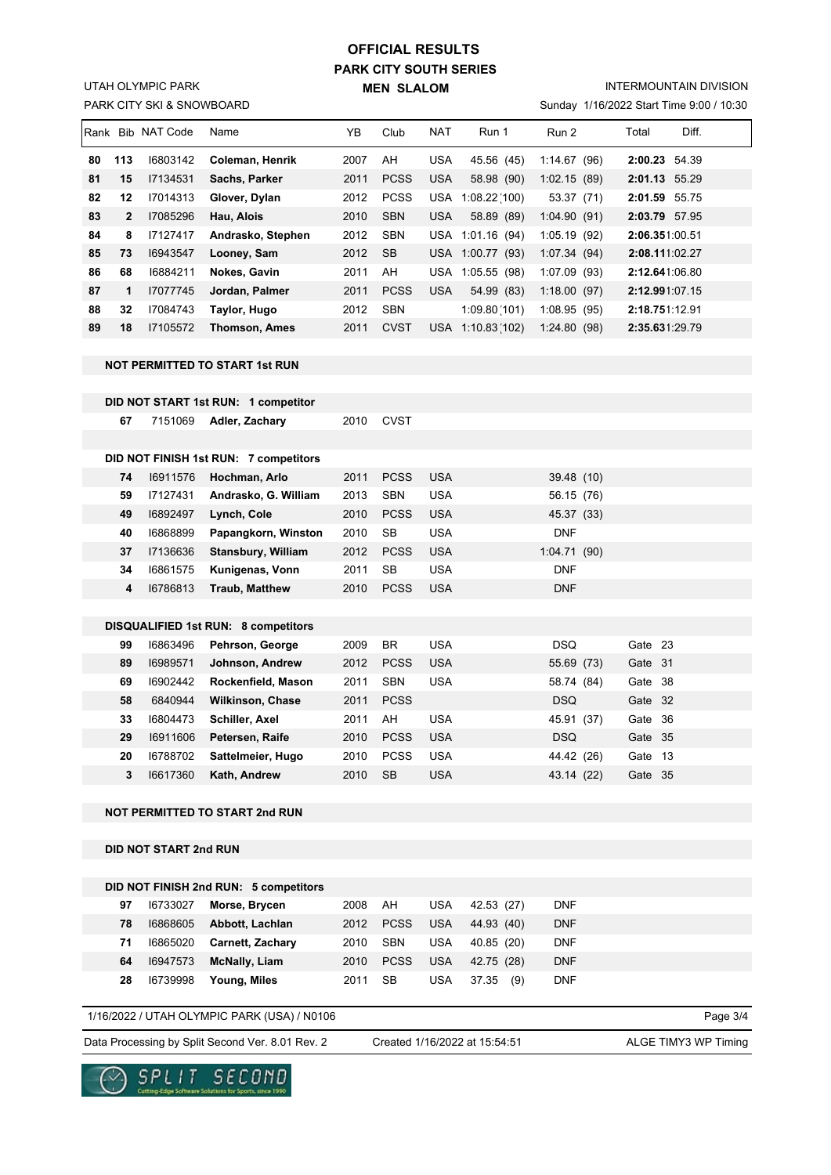# **PARK CITY SOUTH SERIES MEN SLALOM OFFICIAL RESULTS**

PARK CITY SKI & SNOWBOARD UTAH OLYMPIC PARK

### INTERMOUNTAIN DIVISION

Sunday 1/16/2022 Start Time 9:00 / 10:30

| IRank |                | Bib NAT Code | Name                 | ΥB   | Club        | <b>NAT</b> | Run 1        | Run 2       | Diff.<br>Total   |  |
|-------|----------------|--------------|----------------------|------|-------------|------------|--------------|-------------|------------------|--|
| 80    | 113            | 16803142     | Coleman, Henrik      | 2007 | AH          | <b>USA</b> | 45.56 (45)   | 1:14.67(96) | 2:00.23<br>54.39 |  |
| 81    | 15             | 17134531     | Sachs, Parker        | 2011 | <b>PCSS</b> | <b>USA</b> | 58.98 (90)   | 1:02.15(89) | 2:01.13 55.29    |  |
| 82    | 12             | 17014313     | Glover, Dylan        | 2012 | <b>PCSS</b> | <b>USA</b> | 1:08.22(100) | 53.37 (71)  | 2:01.59<br>55.75 |  |
| 83    | $\overline{2}$ | 17085296     | Hau, Alois           | 2010 | <b>SBN</b>  | <b>USA</b> | 58.89 (89)   | 1:04.90(91) | 2:03.79 57.95    |  |
| 84    | 8              | 17127417     | Andrasko, Stephen    | 2012 | <b>SBN</b>  | USA        | 1:01.16(94)  | 1:05.19(92) | 2:06.351:00.51   |  |
| 85    | 73             | 16943547     | Looney, Sam          | 2012 | <b>SB</b>   | <b>USA</b> | 1:00.77(93)  | 1:07.34(94) | 2:08.111:02.27   |  |
| 86    | 68             | 16884211     | Nokes, Gavin         | 2011 | AH          | <b>USA</b> | 1:05.55(98)  | 1:07.09(93) | 2:12.641:06.80   |  |
| 87    | 1              | 17077745     | Jordan, Palmer       | 2011 | <b>PCSS</b> | <b>USA</b> | 54.99 (83)   | 1:18.00(97) | 2:12.991.07.15   |  |
| 88    | 32             | 17084743     | Taylor, Hugo         | 2012 | <b>SBN</b>  |            | 1:09.80(101) | 1:08.95(95) | 2:18.751:12.91   |  |
| 89    | 18             | 17105572     | <b>Thomson, Ames</b> | 2011 | <b>CVST</b> | <b>USA</b> | 1:10.83(102) | 1:24.80(98) | 2:35.631.29.79   |  |
|       |                |              |                      |      |             |            |              |             |                  |  |

#### **NOT PERMITTED TO START 1st RUN**

**DID NOT START 1st RUN: 1 competitor**

| 67 |                        | 2010 CVST |
|----|------------------------|-----------|
|    | 7151069 Adler, Zachary |           |

|    |          | DID NOT FINISH 1st RUN: 7 competitors      |      |             |            |             |         |
|----|----------|--------------------------------------------|------|-------------|------------|-------------|---------|
| 74 | 16911576 | Hochman, Arlo                              | 2011 | <b>PCSS</b> | <b>USA</b> | 39.48 (10)  |         |
| 59 | 17127431 | Andrasko, G. William                       | 2013 | <b>SBN</b>  | <b>USA</b> | 56.15 (76)  |         |
| 49 | 16892497 | Lynch, Cole                                | 2010 | <b>PCSS</b> | <b>USA</b> | 45.37 (33)  |         |
| 40 | 16868899 | Papangkorn, Winston                        | 2010 | SB          | USA        | <b>DNF</b>  |         |
| 37 | 17136636 | <b>Stansbury, William</b>                  | 2012 | <b>PCSS</b> | <b>USA</b> | 1:04.71(90) |         |
| 34 | 16861575 | Kunigenas, Vonn                            | 2011 | SB          | USA        | <b>DNF</b>  |         |
| 4  | 16786813 | <b>Traub, Matthew</b>                      | 2010 | <b>PCSS</b> | <b>USA</b> | <b>DNF</b>  |         |
|    |          |                                            |      |             |            |             |         |
|    |          | <b>DISQUALIFIED 1st RUN: 8 competitors</b> |      |             |            |             |         |
| 99 | 16863496 | Pehrson, George                            | 2009 | <b>BR</b>   | <b>USA</b> | <b>DSQ</b>  | Gate 23 |
| 89 | 16989571 | Johnson, Andrew                            | 2012 | <b>PCSS</b> | <b>USA</b> | 55.69 (73)  | Gate 31 |
| 69 | 16902442 | Rockenfield, Mason                         | 2011 | <b>SBN</b>  | <b>USA</b> | 58.74 (84)  | Gate 38 |
| 58 | 6840944  | <b>Wilkinson, Chase</b>                    | 2011 | <b>PCSS</b> |            | DSQ         | Gate 32 |
| 33 | 16804473 | <b>Schiller, Axel</b>                      | 2011 | AH          | USA        | 45.91 (37)  | Gate 36 |
| 29 | 16911606 | Petersen, Raife                            | 2010 | <b>PCSS</b> | <b>USA</b> | DSQ         | Gate 35 |
| 20 | 16788702 | Sattelmeier, Hugo                          | 2010 | <b>PCSS</b> | <b>USA</b> | 44.42 (26)  | Gate 13 |
| 3  | 16617360 | Kath, Andrew                               | 2010 | <b>SB</b>   | <b>USA</b> | 43.14 (22)  | Gate 35 |

### **NOT PERMITTED TO START 2nd RUN**

**DID NOT START 2nd RUN**

|    |          | DID NOT FINISH 2nd RUN: 5 competitors |      |             |            |              |            |
|----|----------|---------------------------------------|------|-------------|------------|--------------|------------|
| 97 | 16733027 | Morse, Brycen                         | 2008 | AH          | <b>USA</b> | 42.53 (27)   | <b>DNF</b> |
| 78 | 16868605 | Abbott, Lachlan                       | 2012 | <b>PCSS</b> | <b>USA</b> | 44.93 (40)   | <b>DNF</b> |
| 71 | 16865020 | <b>Carnett, Zachary</b>               | 2010 | <b>SBN</b>  | USA        | 40.85 (20)   | <b>DNF</b> |
| 64 | 16947573 | <b>McNally, Liam</b>                  | 2010 | <b>PCSS</b> | <b>USA</b> | 42.75 (28)   | <b>DNF</b> |
| 28 | 16739998 | Young, Miles                          | 2011 | SВ          | USA        | 37.35<br>(9) | <b>DNF</b> |

### 1/16/2022 / UTAH OLYMPIC PARK (USA) / N0106

Data Processing by Split Second Ver. 8.01 Rev. 2 Created 1/16/2022 at 15:54:51 ALGE TIMY3 WP Timing

Created 1/16/2022 at 15:54:51

Page 3/4